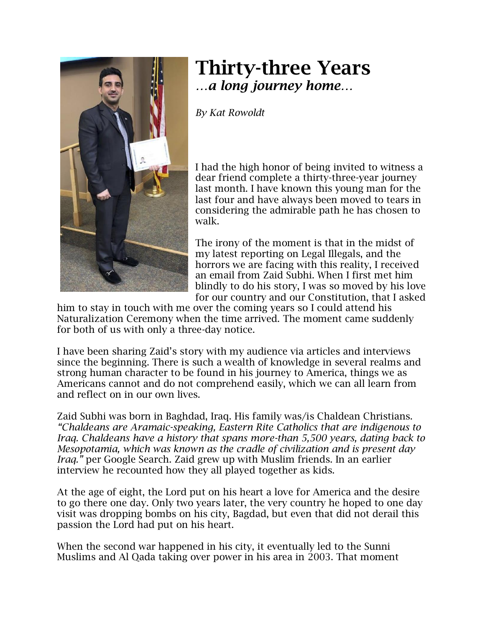

## Thirty-three Years *…a long journey home…*

*By Kat Rowoldt*

I had the high honor of being invited to witness a dear friend complete a thirty-three-year journey last month. I have known this young man for the last four and have always been moved to tears in considering the admirable path he has chosen to walk.

The irony of the moment is that in the midst of my latest reporting on Legal Illegals, and the horrors we are facing with this reality, I received an email from Zaid Subhi. When I first met him blindly to do his story, I was so moved by his love for our country and our Constitution, that I asked

him to stay in touch with me over the coming years so I could attend his Naturalization Ceremony when the time arrived. The moment came suddenly for both of us with only a three-day notice.

I have been sharing Zaid's story with my audience via articles and interviews since the beginning. There is such a wealth of knowledge in several realms and strong human character to be found in his journey to America, things we as Americans cannot and do not comprehend easily, which we can all learn from and reflect on in our own lives.

Zaid Subhi was born in Baghdad, Iraq. His family was/is Chaldean Christians. *"Chaldeans are Aramaic-speaking, Eastern Rite Catholics that are indigenous to Iraq. Chaldeans have a history that spans more-than 5,500 years, dating back to Mesopotamia, which was known as the cradle of civilization and is present day Iraq.*" per Google Search. Zaid grew up with Muslim friends. In an earlier interview he recounted how they all played together as kids.

At the age of eight, the Lord put on his heart a love for America and the desire to go there one day. Only two years later, the very country he hoped to one day visit was dropping bombs on his city, Bagdad, but even that did not derail this passion the Lord had put on his heart.

When the second war happened in his city, it eventually led to the Sunni Muslims and Al Qada taking over power in his area in 2003. That moment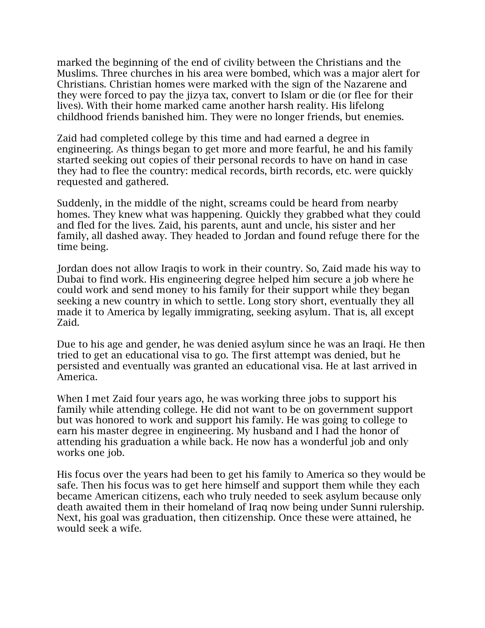marked the beginning of the end of civility between the Christians and the Muslims. Three churches in his area were bombed, which was a major alert for Christians. Christian homes were marked with the sign of the Nazarene and they were forced to pay the jizya tax, convert to Islam or die (or flee for their lives). With their home marked came another harsh reality. His lifelong childhood friends banished him. They were no longer friends, but enemies.

Zaid had completed college by this time and had earned a degree in engineering. As things began to get more and more fearful, he and his family started seeking out copies of their personal records to have on hand in case they had to flee the country: medical records, birth records, etc. were quickly requested and gathered.

Suddenly, in the middle of the night, screams could be heard from nearby homes. They knew what was happening. Quickly they grabbed what they could and fled for the lives. Zaid, his parents, aunt and uncle, his sister and her family, all dashed away. They headed to Jordan and found refuge there for the time being.

Jordan does not allow Iraqis to work in their country. So, Zaid made his way to Dubai to find work. His engineering degree helped him secure a job where he could work and send money to his family for their support while they began seeking a new country in which to settle. Long story short, eventually they all made it to America by legally immigrating, seeking asylum. That is, all except Zaid.

Due to his age and gender, he was denied asylum since he was an Iraqi. He then tried to get an educational visa to go. The first attempt was denied, but he persisted and eventually was granted an educational visa. He at last arrived in America.

When I met Zaid four years ago, he was working three jobs to support his family while attending college. He did not want to be on government support but was honored to work and support his family. He was going to college to earn his master degree in engineering. My husband and I had the honor of attending his graduation a while back. He now has a wonderful job and only works one job.

His focus over the years had been to get his family to America so they would be safe. Then his focus was to get here himself and support them while they each became American citizens, each who truly needed to seek asylum because only death awaited them in their homeland of Iraq now being under Sunni rulership. Next, his goal was graduation, then citizenship. Once these were attained, he would seek a wife.